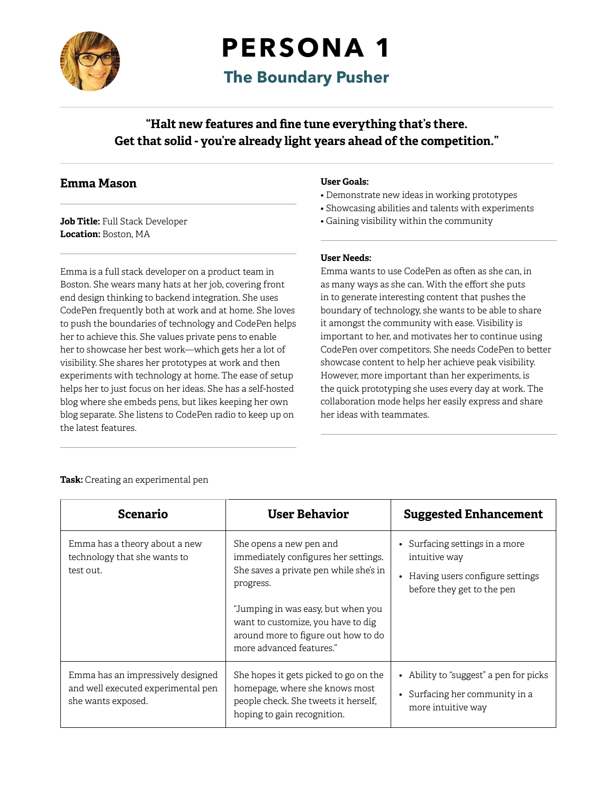

## **PERSONA 1**

**The Boundary Pusher**

**"Halt new features and fine tune everything that's there. Get that solid - you're already light years ahead of the competition."**

### **Emma Mason**

**Job Title:** Full Stack Developer **Location:** Boston, MA

Emma is a full stack developer on a product team in Boston. She wears many hats at her job, covering front end design thinking to backend integration. She uses CodePen frequently both at work and at home. She loves to push the boundaries of technology and CodePen helps her to achieve this. She values private pens to enable her to showcase her best work—which gets her a lot of visibility. She shares her prototypes at work and then experiments with technology at home. The ease of setup helps her to just focus on her ideas. She has a self-hosted blog where she embeds pens, but likes keeping her own blog separate. She listens to CodePen radio to keep up on the latest features.

#### **User Goals:**

- Demonstrate new ideas in working prototypes
- Showcasing abilities and talents with experiments
- Gaining visibility within the community

#### **User Needs:**

Emma wants to use CodePen as often as she can, in as many ways as she can. With the effort she puts in to generate interesting content that pushes the boundary of technology, she wants to be able to share it amongst the community with ease. Visibility is important to her, and motivates her to continue using CodePen over competitors. She needs CodePen to better showcase content to help her achieve peak visibility. However, more important than her experiments, is the quick prototyping she uses every day at work. The collaboration mode helps her easily express and share her ideas with teammates.

|  | <b>Task:</b> Creating an experimental pen |  |
|--|-------------------------------------------|--|
|  |                                           |  |

| <b>Scenario</b>                                                                               | <b>User Behavior</b>                                                                                                                                                                                                                                                  | <b>Suggested Enhancement</b>                                                                                     |
|-----------------------------------------------------------------------------------------------|-----------------------------------------------------------------------------------------------------------------------------------------------------------------------------------------------------------------------------------------------------------------------|------------------------------------------------------------------------------------------------------------------|
| Emma has a theory about a new<br>technology that she wants to<br>test out.                    | She opens a new pen and<br>immediately configures her settings.<br>She saves a private pen while she's in<br>progress.<br>"Jumping in was easy, but when you<br>want to customize, you have to dig<br>around more to figure out how to do<br>more advanced features." | • Surfacing settings in a more<br>intuitive way<br>Having users configure settings<br>before they get to the pen |
| Emma has an impressively designed<br>and well executed experimental pen<br>she wants exposed. | She hopes it gets picked to go on the<br>homepage, where she knows most<br>people check. She tweets it herself,<br>hoping to gain recognition.                                                                                                                        | Ability to "suggest" a pen for picks<br>• Surfacing her community in a<br>more intuitive way                     |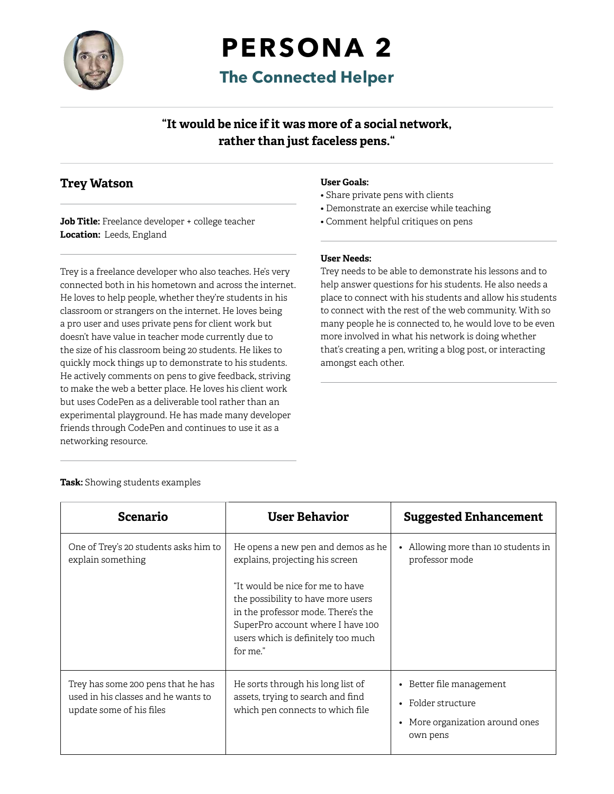

# **PERSONA 2**

**The Connected Helper**

## **"It would be nice if it was more of a social network, rather than just faceless pens."**

### **Trey Watson**

**Job Title:** Freelance developer + college teacher **Location:** Leeds, England

Trey is a freelance developer who also teaches. He's very connected both in his hometown and across the internet. He loves to help people, whether they're students in his classroom or strangers on the internet. He loves being a pro user and uses private pens for client work but doesn't have value in teacher mode currently due to the size of his classroom being 20 students. He likes to quickly mock things up to demonstrate to his students. He actively comments on pens to give feedback, striving to make the web a better place. He loves his client work but uses CodePen as a deliverable tool rather than an experimental playground. He has made many developer friends through CodePen and continues to use it as a networking resource.

#### **User Goals:**

- Share private pens with clients
- Demonstrate an exercise while teaching
- Comment helpful critiques on pens

#### **User Needs:**

Trey needs to be able to demonstrate his lessons and to help answer questions for his students. He also needs a place to connect with his students and allow his students to connect with the rest of the web community. With so many people he is connected to, he would love to be even more involved in what his network is doing whether that's creating a pen, writing a blog post, or interacting amongst each other.

| <b>Scenario</b>                                                                                       | <b>User Behavior</b>                                                                                                                                                                                                                                                         | <b>Suggested Enhancement</b>                                                                                                   |  |
|-------------------------------------------------------------------------------------------------------|------------------------------------------------------------------------------------------------------------------------------------------------------------------------------------------------------------------------------------------------------------------------------|--------------------------------------------------------------------------------------------------------------------------------|--|
| One of Trey's 20 students asks him to<br>explain something                                            | He opens a new pen and demos as he<br>explains, projecting his screen<br>"It would be nice for me to have<br>the possibility to have more users<br>in the professor mode. There's the<br>SuperPro account where I have 100<br>users which is definitely too much<br>for me." | Allowing more than 10 students in<br>$\bullet$<br>professor mode                                                               |  |
| Trey has some 200 pens that he has<br>used in his classes and he wants to<br>update some of his files | He sorts through his long list of<br>assets, trying to search and find<br>which pen connects to which file                                                                                                                                                                   | Better file management<br>$\bullet$<br>Folder structure<br>$\bullet$<br>More organization around ones<br>$\bullet$<br>own pens |  |

#### **Task:** Showing students examples